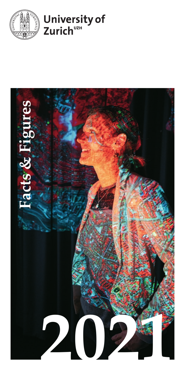



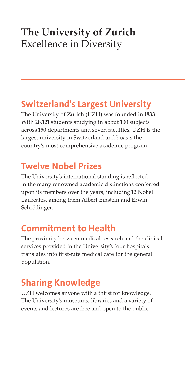## **The University of Zurich** Excellence in Diversity

### Switzerland's Largest University

The University of Zurich (UZH) was founded in 1833. With 28,121 students studying in about 100 subjects across 150 departments and seven faculties, UZH is the largest university in Switzerland and boasts the country's most comprehensive academic program.

### Twelve Nobel Prizes

The University's international standing is reflected in the many renowned academic distinctions conferred upon its members over the years, including 12 Nobel Laureates, among them Albert Einstein and Erwin Schrödinger.

### Commitment to Health

The proximity between medical research and the clinical services provided in the University's four hospitals translates into first-rate medical care for the general population.

## Sharing Knowledge

UZH welcomes anyone with a thirst for knowledge. The University's museums, libraries and a variety of events and lectures are free and open to the public.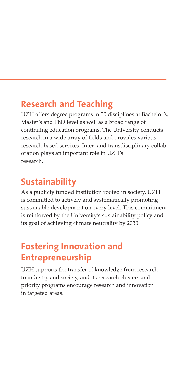### Research and Teaching

UZH offers degree programs in 50 disciplines at Bachelor's, Master's and PhD level as well as a broad range of continuing education programs. The University conducts research in a wide array of fields and provides various research-based services. Inter- and transdisciplinary collaboration plays an important role in UZH's research.

### Sustainability

As a publicly funded institution rooted in society, UZH is committed to actively and systematically promoting sustainable development on every level. This commitment is reinforced by the University's sustainability policy and its goal of achieving climate neutrality by 2030.

### Fostering Innovation and Entrepreneurship

UZH supports the transfer of knowledge from research to industry and society, and its research clusters and priority programs encourage research and innovation in targeted areas.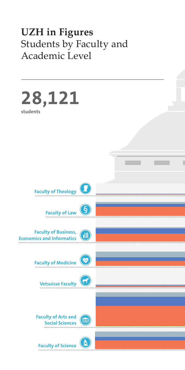## **UZH in Figures** Students by Faculty and Academic Level

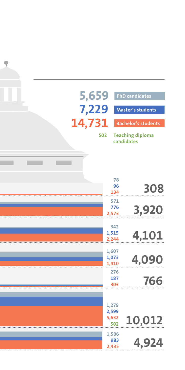| 5,659      |                | <b>PhD</b> candidates      |
|------------|----------------|----------------------------|
|            |                |                            |
| 7,229      |                | <b>Master's students</b>   |
|            |                |                            |
| 14,731     |                | <b>Bachelor's students</b> |
|            | 502            | <b>Teaching diploma</b>    |
| candidates |                |                            |
|            |                |                            |
|            |                |                            |
|            |                |                            |
|            | 78             |                            |
|            | 96             |                            |
|            | 134            | 308                        |
|            | 571            |                            |
|            | 776            | 3,920                      |
|            | 2,573          |                            |
|            | 342            |                            |
|            | 1,515          | 4,101                      |
|            | 2,244          |                            |
|            | 1,607          |                            |
|            | 1,073<br>1,410 | 4,090                      |
|            | 276            |                            |
|            | 187            |                            |
|            | 303            | 766                        |
|            |                |                            |
|            | 1,279          |                            |
|            | 2,599          |                            |
|            | 5,632          | 10,012                     |
|            | 502            |                            |
|            | 1,506          |                            |
|            | 983            | 4,924                      |
|            | 2,435          |                            |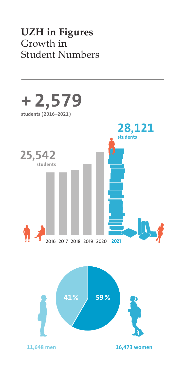## **UZH in Figures** Growth in Student Numbers

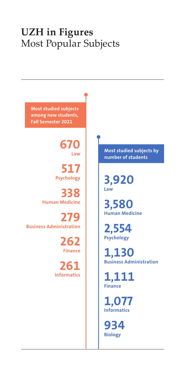## **UZH in Figures** Most Popular Subjects

Most studied subjects among new students, Fall Semester 2021

> 670 Law

517 Psychology

338 Human Medicine

279 Business Administration

> 262 Finance

261 Informatics Most studied subjects by number of students

3,920 Law

3,580 Human Medicine

2,554 Psychology

1,130 Business Administration

1,111 Finance

1,077 Informatics

934 Biology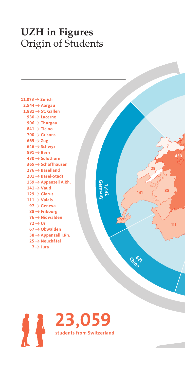## **UZH in Figures** Origin of Students

| 11,073 $\rightarrow$ Zurich       |
|-----------------------------------|
| $2,544 \rightarrow$ Aargau        |
| $1,881 \rightarrow$ St. Gallen    |
| 930 $\rightarrow$ Lucerne         |
| $906 \rightarrow$ Thurgau         |
| $841 \rightarrow$ Ticino          |
| $700 \rightarrow Grisons$         |
| $665 \rightarrow$ Zug             |
| 646 $\rightarrow$ Schwyz          |
| $591 \rightarrow$ Bern            |
| $430 \rightarrow$ Solothurn       |
| $365 \rightarrow$ Schaffhausen    |
| $276 \rightarrow$ Baselland       |
| $201 \rightarrow$ Basel-Stadt     |
| $159 \rightarrow$ Appenzell A.Rh. |
| $141 \rightarrow$ Vaud            |
| $129 \rightarrow$ Glarus          |
| $111 \rightarrow$ Valais          |
| $97 \rightarrow$ Geneva           |
| $88 \rightarrow$ Fribourg         |
| $76 \rightarrow$ Nidwalden        |
| $72 \rightarrow Uri$              |
| $67 \rightarrow$ Obwalden         |
| $38 \rightarrow$ Appenzell I.Rh.  |
| $25 \rightarrow$ Neuchâtel        |
| $7 \rightarrow$ Jura              |



China

Germany

1 ,432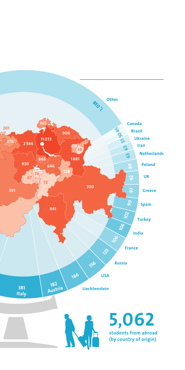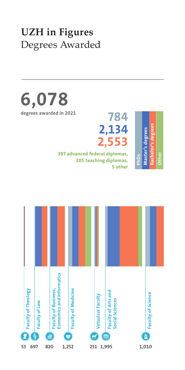## **UZH in Figures** Degrees Awarded

6,078 degrees awarded in 2021

784 2,134 2,553

 397 advanced federal diplomas, 205 teaching diplomas, 5 other



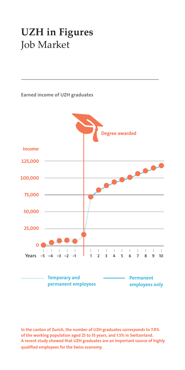## **UZH in Figures** Job Market



In the canton of Zurich, the number of UZH graduates corresponds to 7.9% of the working population aged 25 to 55 years, and 1.5% in Switzerland. A recent study showed that UZH graduates are an important source of highly qualified employees for the Swiss economy.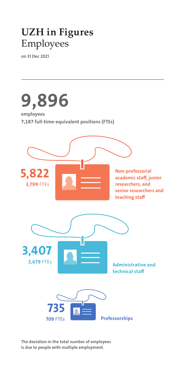## **UZH in Figures** Employees

on 31 Dec 2021



The deviation in the total number of employees is due to people with multiple employment.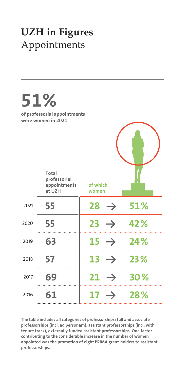# **UZH in Figures** Appointments



The table includes all categories of professorships: full and associate professorships (incl. ad personam), assistant professorships (incl. with tenure track), externally funded assistant professorships. One factor contributing to the considerable increase in the number of women appointed was the promotion of eight PRIMA grant-holders to assistant professorships.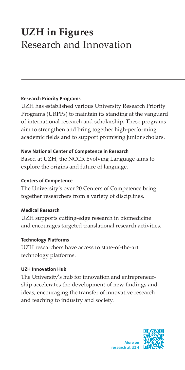# **UZH in Figures** Research and Innovation

#### Research Priority Programs

UZH has established various University Research Priority Programs (URPPs) to maintain its standing at the vanguard of international research and scholarship. These programs aim to strengthen and bring together high-performing academic fields and to support promising junior scholars.

#### New National Center of Competence in Research

Based at UZH, the NCCR Evolving Language aims to explore the origins and future of language.

#### Centers of Competence

The University's over 20 Centers of Competence bring together researchers from a variety of disciplines.

### Medical Research

UZH supports cutting-edge research in biomedicine and encourages targeted translational research activities.

### Technology Platforms

UZH researchers have access to state-of-the-art technology platforms.

### UZH Innovation Hub

The University's hub for innovation and entrepreneurship accelerates the development of new findings and ideas, encouraging the transfer of innovative research and teaching to industry and society.

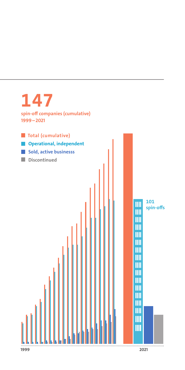

#### 1999 2021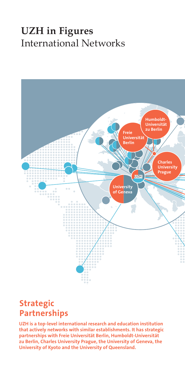## **UZH in Figures** International Networks



### Strategic Partnerships

UZH is a top-level international research and education institution that actively networks with similar establishments. It has strategic partnerships with Freie Universität Berlin, Humboldt-Universität zu Berlin, Charles University Prague, the University of Geneva, the University of Kyoto and the University of Queensland.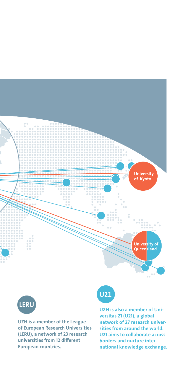



UZH is a member of the League of European Research Universities (LERU), a network of 23 research universities from 12 different European countries.

# $U$ <sub>21</sub>

UZH is also a member of Universitas 21 (U21), a global network of 27 research universities from around the world. U21 aims to collaborate across borders and nurture international knowledge exchange.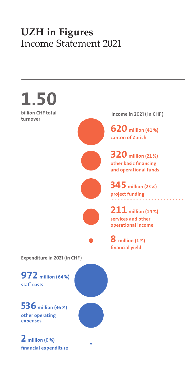## **UZH in Figures** Income Statement 2021



Expenditure in 2021 (in CHF )

972 million (64%) staff costs

536 million (36%) other operating expenses

2 million (0%) financial expenditure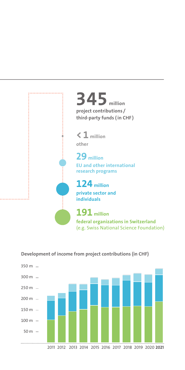

 $350 m 300 m 250 m 200 m 150 m 100 m -$  50 m 2011 2012 2013 2014 2015 2016 2017 2018 2019 2020 2021

Development of income from project contributions (in CHF)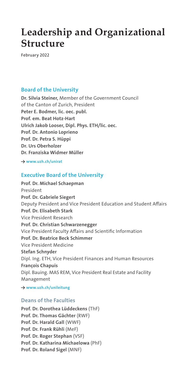## **Leadership and Organizational Structure**

February 2022

#### Board of the University

Dr. Silvia Steiner, Member of the Government Council of the Canton of Zurich, President Peter E. Bodmer, lic. oec. publ. Prof. em. Beat Hotz-Hart Ulrich Jakob Looser, Dipl. Phys. ETH/lic. oec. Prof. Dr. Antonio Loprieno Prof. Dr. Petra S. Hüppi Dr. Urs Oberholzer Dr. Franziska Widmer Müller

→ www.uzh.ch/unirat

#### Executive Board of the University

Prof. Dr. Michael Schaepman President Prof. Dr. Gabriele Siegert Deputy President and Vice President Education and Student Affairs Prof. Dr. Elisabeth Stark Vice President Research Prof. Dr. Christian Schwarzenegger Vice President Faculty Affairs and Scientific Information Prof. Dr. Beatrice Beck Schimmer Vice President Medicine Stefan Schnyder Dipl. Ing. ETH, Vice President Finances and Human Resources François Chapuis Dipl. Bauing. MAS REM, Vice President Real Estate and Facility Management

→ www.uzh.ch/unileitung

#### Deans of the Faculties

Prof. Dr. Dorothea Lüddeckens (ThF) Prof. Dr. Thomas Gächter (RWF) Prof. Dr. Harald Gall (WWF) Prof. Dr. Frank Rühli (MeF) Prof. Dr. Roger Stephan (VSF) Prof. Dr. Katharina Michaelowa (PhF) Prof. Dr. Roland Sigel (MNF)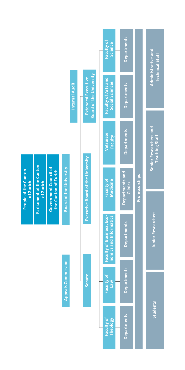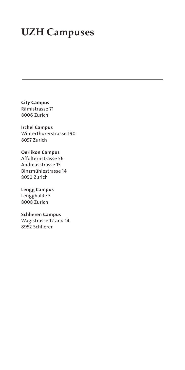## **UZH Campuses**

City Campus Rämistrasse 71 8006 Zurich

Irchel Campus Winterthurerstrasse 190 8057 Zurich

Oerlikon Campus Affolternstrasse 56 Andreasstrasse 15 Binzmühlestrasse 14 8050 Zurich

Lengg Campus Lengghalde 5 8008 Zurich

Schlieren Campus Wagistrasse 12 and 14 8952 Schlieren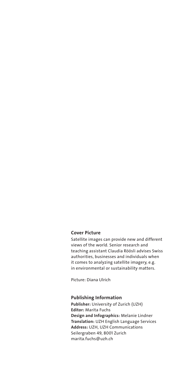#### Cover Picture

Satellite images can provide new and different views of the world. Senior research and teaching assistant Claudia Röösli advises Swiss authorities, businesses and individuals when it comes to analyzing satellite imagery, e.g. in environmental or sustainability matters.

Picture: Diana Ulrich

#### Publishing Information

Publisher: University of Zurich (UZH) Editor: Marita Fuchs Design and Infographics: Melanie Lindner Translation: UZH English Language Services Address: UZH, UZH Communications Seilergraben 49, 8001 Zurich marita.fuchs@uzh.ch